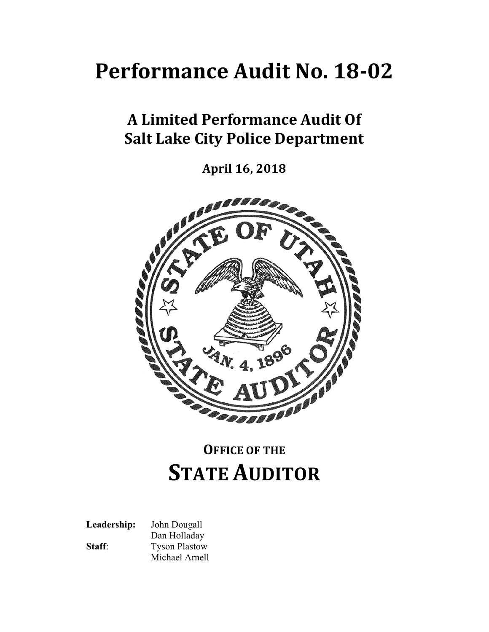# **Performance Audit No. 18‐02**

## **A Limited Performance Audit Of Salt Lake City Police Department**

**April 16, 2018**



## **OFFICE OF THE STATE AUDITOR**

**Leadership:** John Dougall Dan Holladay **Staff:** Tyson Plastow Michael Arnell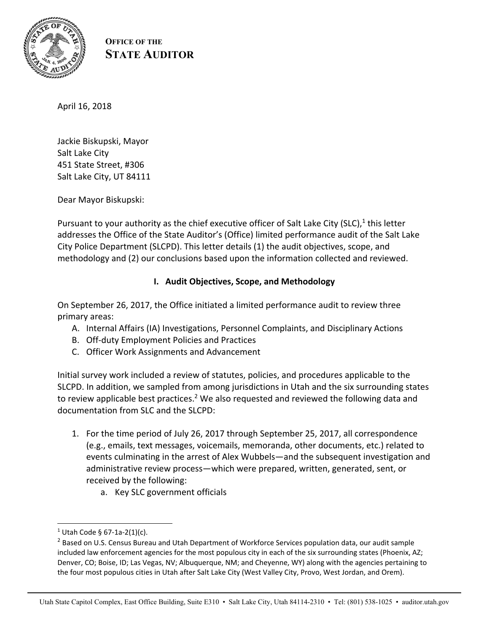

**OFFICE OF THE STATE AUDITOR**

April 16, 2018

Jackie Biskupski, Mayor Salt Lake City 451 State Street, #306 Salt Lake City, UT 84111

Dear Mayor Biskupski:

Pursuant to your authority as the chief executive officer of Salt Lake City (SLC), $1$  this letter addresses the Office of the State Auditor's (Office) limited performance audit of the Salt Lake City Police Department (SLCPD). This letter details (1) the audit objectives, scope, and methodology and (2) our conclusions based upon the information collected and reviewed.

## **I. Audit Objectives, Scope, and Methodology**

On September 26, 2017, the Office initiated a limited performance audit to review three primary areas:

- A. Internal Affairs (IA) Investigations, Personnel Complaints, and Disciplinary Actions
- B. Off‐duty Employment Policies and Practices
- C. Officer Work Assignments and Advancement

Initial survey work included a review of statutes, policies, and procedures applicable to the SLCPD. In addition, we sampled from among jurisdictions in Utah and the six surrounding states to review applicable best practices.<sup>2</sup> We also requested and reviewed the following data and documentation from SLC and the SLCPD:

- 1. For the time period of July 26, 2017 through September 25, 2017, all correspondence (e.g., emails, text messages, voicemails, memoranda, other documents, etc.) related to events culminating in the arrest of Alex Wubbels—and the subsequent investigation and administrative review process—which were prepared, written, generated, sent, or received by the following:
	- a. Key SLC government officials

 $\overline{a}$ 

 $1$  Utah Code § 67-1a-2(1)(c).

<sup>&</sup>lt;sup>2</sup> Based on U.S. Census Bureau and Utah Department of Workforce Services population data, our audit sample included law enforcement agencies for the most populous city in each of the six surrounding states (Phoenix, AZ; Denver, CO; Boise, ID; Las Vegas, NV; Albuquerque, NM; and Cheyenne, WY) along with the agencies pertaining to the four most populous cities in Utah after Salt Lake City (West Valley City, Provo, West Jordan, and Orem).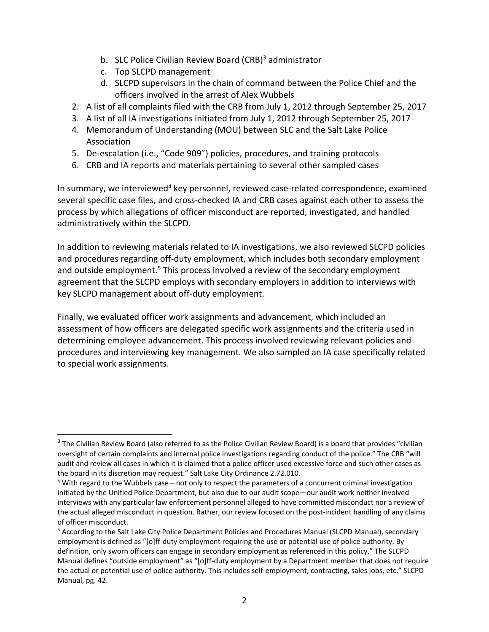- b. SLC Police Civilian Review Board (CRB)<sup>3</sup> administrator
- c. Top SLCPD management

 $\overline{\phantom{a}}$ 

- d. SLCPD supervisors in the chain of command between the Police Chief and the officers involved in the arrest of Alex Wubbels
- 2. A list of all complaints filed with the CRB from July 1, 2012 through September 25, 2017
- 3. A list of all IA investigations initiated from July 1, 2012 through September 25, 2017
- 4. Memorandum of Understanding (MOU) between SLC and the Salt Lake Police Association
- 5. De-escalation (i.e., "Code 909") policies, procedures, and training protocols
- 6. CRB and IA reports and materials pertaining to several other sampled cases

In summary, we interviewed<sup>4</sup> key personnel, reviewed case-related correspondence, examined several specific case files, and cross-checked IA and CRB cases against each other to assess the process by which allegations of officer misconduct are reported, investigated, and handled administratively within the SLCPD.

In addition to reviewing materials related to IA investigations, we also reviewed SLCPD policies and procedures regarding off-duty employment, which includes both secondary employment and outside employment.<sup>5</sup> This process involved a review of the secondary employment agreement that the SLCPD employs with secondary employers in addition to interviews with key SLCPD management about off‐duty employment.

Finally, we evaluated officer work assignments and advancement, which included an assessment of how officers are delegated specific work assignments and the criteria used in determining employee advancement. This process involved reviewing relevant policies and procedures and interviewing key management. We also sampled an IA case specifically related to special work assignments.

<sup>&</sup>lt;sup>3</sup> The Civilian Review Board (also referred to as the Police Civilian Review Board) is a board that provides "civilian oversight of certain complaints and internal police investigations regarding conduct of the police." The CRB "will audit and review all cases in which it is claimed that a police officer used excessive force and such other cases as the board in its discretion may request." Salt Lake City Ordinance 2.72.010.

<sup>&</sup>lt;sup>4</sup> With regard to the Wubbels case—not only to respect the parameters of a concurrent criminal investigation initiated by the Unified Police Department, but also due to our audit scope—our audit work neither involved interviews with any particular law enforcement personnel alleged to have committed misconduct nor a review of the actual alleged misconduct in question. Rather, our review focused on the post-incident handling of any claims of officer misconduct.

<sup>&</sup>lt;sup>5</sup> According to the Salt Lake City Police Department Policies and Procedures Manual (SLCPD Manual), secondary employment is defined as "[o]ff-duty employment requiring the use or potential use of police authority. By definition, only sworn officers can engage in secondary employment as referenced in this policy." The SLCPD Manual defines "outside employment" as "[o]ff‐duty employment by a Department member that does not require the actual or potential use of police authority. This includes self‐employment, contracting, sales jobs, etc." SLCPD Manual, pg. 42.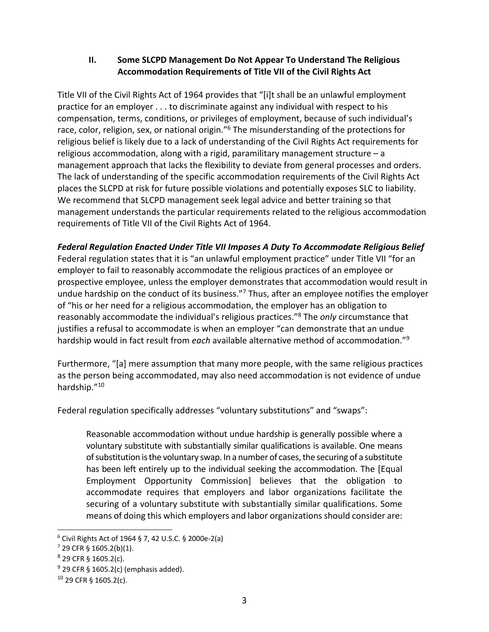## **II. Some SLCPD Management Do Not Appear To Understand The Religious Accommodation Requirements of Title VII of the Civil Rights Act**

Title VII of the Civil Rights Act of 1964 provides that "[i]t shall be an unlawful employment practice for an employer . . . to discriminate against any individual with respect to his compensation, terms, conditions, or privileges of employment, because of such individual's race, color, religion, sex, or national origin."<sup>6</sup> The misunderstanding of the protections for religious belief is likely due to a lack of understanding of the Civil Rights Act requirements for religious accommodation, along with a rigid, paramilitary management structure – a management approach that lacks the flexibility to deviate from general processes and orders. The lack of understanding of the specific accommodation requirements of the Civil Rights Act places the SLCPD at risk for future possible violations and potentially exposes SLC to liability. We recommend that SLCPD management seek legal advice and better training so that management understands the particular requirements related to the religious accommodation requirements of Title VII of the Civil Rights Act of 1964.

## *Federal Regulation Enacted Under Title VII Imposes A Duty To Accommodate Religious Belief*

Federal regulation states that it is "an unlawful employment practice" under Title VII "for an employer to fail to reasonably accommodate the religious practices of an employee or prospective employee, unless the employer demonstrates that accommodation would result in undue hardship on the conduct of its business."<sup>7</sup> Thus, after an employee notifies the employer of "his or her need for a religious accommodation, the employer has an obligation to reasonably accommodate the individual's religious practices."8 The *only* circumstance that justifies a refusal to accommodate is when an employer "can demonstrate that an undue hardship would in fact result from *each* available alternative method of accommodation."9

Furthermore, "[a] mere assumption that many more people, with the same religious practices as the person being accommodated, may also need accommodation is not evidence of undue hardship."10

Federal regulation specifically addresses "voluntary substitutions" and "swaps":

Reasonable accommodation without undue hardship is generally possible where a voluntary substitute with substantially similar qualifications is available. One means of substitution is the voluntary swap. In a number of cases, the securing of a substitute has been left entirely up to the individual seeking the accommodation. The [Equal Employment Opportunity Commission] believes that the obligation to accommodate requires that employers and labor organizations facilitate the securing of a voluntary substitute with substantially similar qualifications. Some means of doing this which employers and labor organizations should consider are:

<sup>6</sup> Civil Rights Act of 1964 § 7, 42 U.S.C. § 2000e‐2(a)

<sup>7</sup> 29 CFR § 1605.2(b)(1).

 $8$  29 CFR § 1605.2(c).

 $9$  29 CFR § 1605.2(c) (emphasis added).

<sup>10</sup> 29 CFR § 1605.2(c).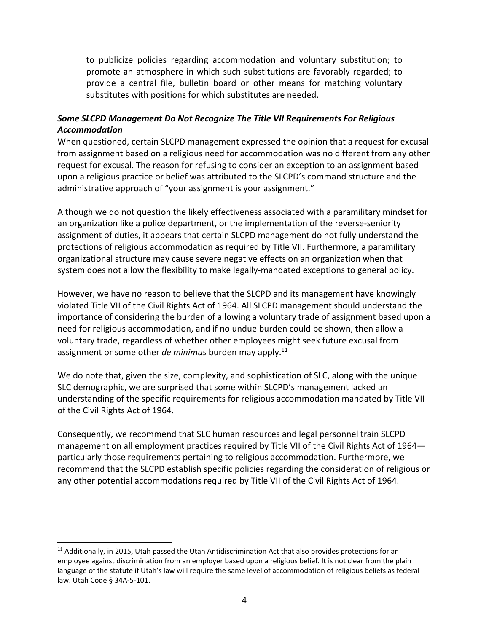to publicize policies regarding accommodation and voluntary substitution; to promote an atmosphere in which such substitutions are favorably regarded; to provide a central file, bulletin board or other means for matching voluntary substitutes with positions for which substitutes are needed.

## *Some SLCPD Management Do Not Recognize The Title VII Requirements For Religious Accommodation*

When questioned, certain SLCPD management expressed the opinion that a request for excusal from assignment based on a religious need for accommodation was no different from any other request for excusal. The reason for refusing to consider an exception to an assignment based upon a religious practice or belief was attributed to the SLCPD's command structure and the administrative approach of "your assignment is your assignment."

Although we do not question the likely effectiveness associated with a paramilitary mindset for an organization like a police department, or the implementation of the reverse-seniority assignment of duties, it appears that certain SLCPD management do not fully understand the protections of religious accommodation as required by Title VII. Furthermore, a paramilitary organizational structure may cause severe negative effects on an organization when that system does not allow the flexibility to make legally-mandated exceptions to general policy.

However, we have no reason to believe that the SLCPD and its management have knowingly violated Title VII of the Civil Rights Act of 1964. All SLCPD management should understand the importance of considering the burden of allowing a voluntary trade of assignment based upon a need for religious accommodation, and if no undue burden could be shown, then allow a voluntary trade, regardless of whether other employees might seek future excusal from assignment or some other *de minimus* burden may apply.11

We do note that, given the size, complexity, and sophistication of SLC, along with the unique SLC demographic, we are surprised that some within SLCPD's management lacked an understanding of the specific requirements for religious accommodation mandated by Title VII of the Civil Rights Act of 1964.

Consequently, we recommend that SLC human resources and legal personnel train SLCPD management on all employment practices required by Title VII of the Civil Rights Act of 1964 particularly those requirements pertaining to religious accommodation. Furthermore, we recommend that the SLCPD establish specific policies regarding the consideration of religious or any other potential accommodations required by Title VII of the Civil Rights Act of 1964.

<sup>&</sup>lt;sup>11</sup> Additionally, in 2015, Utah passed the Utah Antidiscrimination Act that also provides protections for an employee against discrimination from an employer based upon a religious belief. It is not clear from the plain language of the statute if Utah's law will require the same level of accommodation of religious beliefs as federal law. Utah Code § 34A‐5‐101.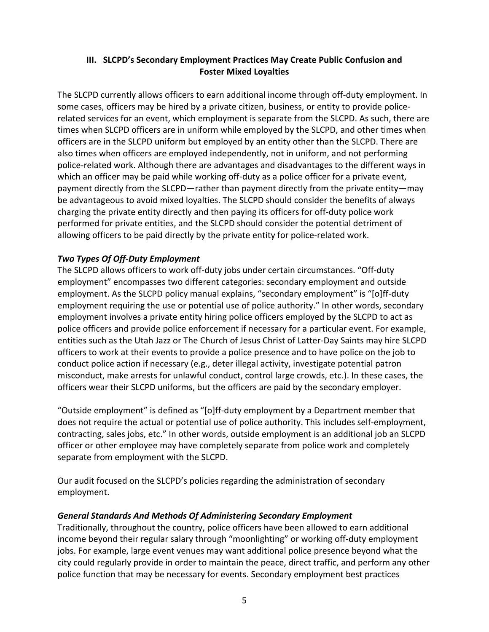## **III. SLCPD's Secondary Employment Practices May Create Public Confusion and Foster Mixed Loyalties**

The SLCPD currently allows officers to earn additional income through off‐duty employment. In some cases, officers may be hired by a private citizen, business, or entity to provide policerelated services for an event, which employment is separate from the SLCPD. As such, there are times when SLCPD officers are in uniform while employed by the SLCPD, and other times when officers are in the SLCPD uniform but employed by an entity other than the SLCPD. There are also times when officers are employed independently, not in uniform, and not performing police‐related work. Although there are advantages and disadvantages to the different ways in which an officer may be paid while working off-duty as a police officer for a private event, payment directly from the SLCPD—rather than payment directly from the private entity—may be advantageous to avoid mixed loyalties. The SLCPD should consider the benefits of always charging the private entity directly and then paying its officers for off‐duty police work performed for private entities, and the SLCPD should consider the potential detriment of allowing officers to be paid directly by the private entity for police-related work.

## *Two Types Of Off‐Duty Employment*

The SLCPD allows officers to work off‐duty jobs under certain circumstances. "Off‐duty employment" encompasses two different categories: secondary employment and outside employment. As the SLCPD policy manual explains, "secondary employment" is "[o]ff-duty employment requiring the use or potential use of police authority." In other words, secondary employment involves a private entity hiring police officers employed by the SLCPD to act as police officers and provide police enforcement if necessary for a particular event. For example, entities such as the Utah Jazz or The Church of Jesus Christ of Latter‐Day Saints may hire SLCPD officers to work at their events to provide a police presence and to have police on the job to conduct police action if necessary (e.g., deter illegal activity, investigate potential patron misconduct, make arrests for unlawful conduct, control large crowds, etc.). In these cases, the officers wear their SLCPD uniforms, but the officers are paid by the secondary employer.

"Outside employment" is defined as "[o]ff‐duty employment by a Department member that does not require the actual or potential use of police authority. This includes self-employment, contracting, sales jobs, etc." In other words, outside employment is an additional job an SLCPD officer or other employee may have completely separate from police work and completely separate from employment with the SLCPD.

Our audit focused on the SLCPD's policies regarding the administration of secondary employment.

## *General Standards And Methods Of Administering Secondary Employment*

Traditionally, throughout the country, police officers have been allowed to earn additional income beyond their regular salary through "moonlighting" or working off‐duty employment jobs. For example, large event venues may want additional police presence beyond what the city could regularly provide in order to maintain the peace, direct traffic, and perform any other police function that may be necessary for events. Secondary employment best practices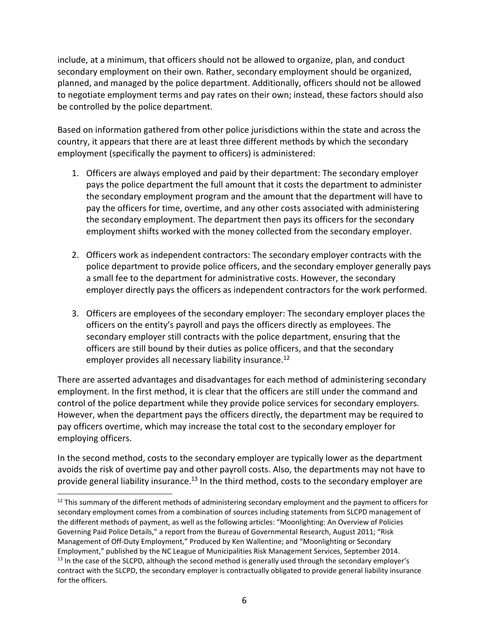include, at a minimum, that officers should not be allowed to organize, plan, and conduct secondary employment on their own. Rather, secondary employment should be organized, planned, and managed by the police department. Additionally, officers should not be allowed to negotiate employment terms and pay rates on their own; instead, these factors should also be controlled by the police department.

Based on information gathered from other police jurisdictions within the state and across the country, it appears that there are at least three different methods by which the secondary employment (specifically the payment to officers) is administered:

- 1. Officers are always employed and paid by their department: The secondary employer pays the police department the full amount that it costs the department to administer the secondary employment program and the amount that the department will have to pay the officers for time, overtime, and any other costs associated with administering the secondary employment. The department then pays its officers for the secondary employment shifts worked with the money collected from the secondary employer.
- 2. Officers work as independent contractors: The secondary employer contracts with the police department to provide police officers, and the secondary employer generally pays a small fee to the department for administrative costs. However, the secondary employer directly pays the officers as independent contractors for the work performed.
- 3. Officers are employees of the secondary employer: The secondary employer places the officers on the entity's payroll and pays the officers directly as employees. The secondary employer still contracts with the police department, ensuring that the officers are still bound by their duties as police officers, and that the secondary employer provides all necessary liability insurance.<sup>12</sup>

There are asserted advantages and disadvantages for each method of administering secondary employment. In the first method, it is clear that the officers are still under the command and control of the police department while they provide police services for secondary employers. However, when the department pays the officers directly, the department may be required to pay officers overtime, which may increase the total cost to the secondary employer for employing officers.

In the second method, costs to the secondary employer are typically lower as the department avoids the risk of overtime pay and other payroll costs. Also, the departments may not have to provide general liability insurance.<sup>13</sup> In the third method, costs to the secondary employer are

 $\overline{\phantom{a}}$  $12$  This summary of the different methods of administering secondary employment and the payment to officers for secondary employment comes from a combination of sources including statements from SLCPD management of the different methods of payment, as well as the following articles: "Moonlighting: An Overview of Policies Governing Paid Police Details," a report from the Bureau of Governmental Research, August 2011; "Risk Management of Off‐Duty Employment," Produced by Ken Wallentine; and "Moonlighting or Secondary Employment," published by the NC League of Municipalities Risk Management Services, September 2014. <sup>13</sup> In the case of the SLCPD, although the second method is generally used through the secondary employer's contract with the SLCPD, the secondary employer is contractually obligated to provide general liability insurance for the officers.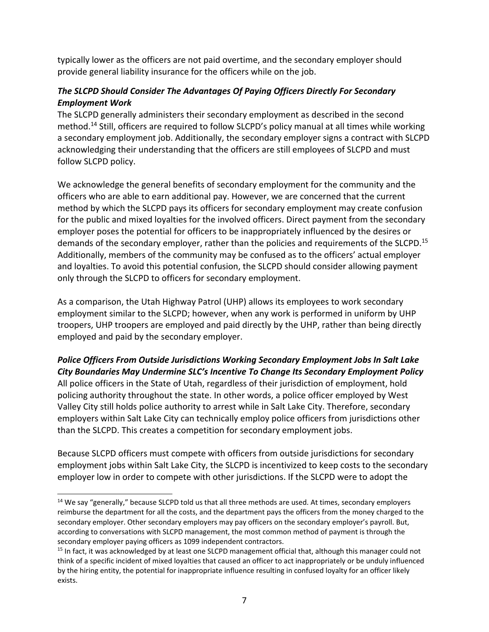typically lower as the officers are not paid overtime, and the secondary employer should provide general liability insurance for the officers while on the job.

## *The SLCPD Should Consider The Advantages Of Paying Officers Directly For Secondary Employment Work*

The SLCPD generally administers their secondary employment as described in the second method.14 Still, officers are required to follow SLCPD's policy manual at all times while working a secondary employment job. Additionally, the secondary employer signs a contract with SLCPD acknowledging their understanding that the officers are still employees of SLCPD and must follow SLCPD policy.

We acknowledge the general benefits of secondary employment for the community and the officers who are able to earn additional pay. However, we are concerned that the current method by which the SLCPD pays its officers for secondary employment may create confusion for the public and mixed loyalties for the involved officers. Direct payment from the secondary employer poses the potential for officers to be inappropriately influenced by the desires or demands of the secondary employer, rather than the policies and requirements of the SLCPD.<sup>15</sup> Additionally, members of the community may be confused as to the officers' actual employer and loyalties. To avoid this potential confusion, the SLCPD should consider allowing payment only through the SLCPD to officers for secondary employment.

As a comparison, the Utah Highway Patrol (UHP) allows its employees to work secondary employment similar to the SLCPD; however, when any work is performed in uniform by UHP troopers, UHP troopers are employed and paid directly by the UHP, rather than being directly employed and paid by the secondary employer.

## *Police Officers From Outside Jurisdictions Working Secondary Employment Jobs In Salt Lake City Boundaries May Undermine SLC's Incentive To Change Its Secondary Employment Policy*

All police officers in the State of Utah, regardless of their jurisdiction of employment, hold policing authority throughout the state. In other words, a police officer employed by West Valley City still holds police authority to arrest while in Salt Lake City. Therefore, secondary employers within Salt Lake City can technically employ police officers from jurisdictions other than the SLCPD. This creates a competition for secondary employment jobs.

Because SLCPD officers must compete with officers from outside jurisdictions for secondary employment jobs within Salt Lake City, the SLCPD is incentivized to keep costs to the secondary employer low in order to compete with other jurisdictions. If the SLCPD were to adopt the

<sup>&</sup>lt;sup>14</sup> We say "generally," because SLCPD told us that all three methods are used. At times, secondary employers reimburse the department for all the costs, and the department pays the officers from the money charged to the secondary employer. Other secondary employers may pay officers on the secondary employer's payroll. But, according to conversations with SLCPD management, the most common method of payment is through the secondary employer paying officers as 1099 independent contractors.

<sup>&</sup>lt;sup>15</sup> In fact, it was acknowledged by at least one SLCPD management official that, although this manager could not think of a specific incident of mixed loyalties that caused an officer to act inappropriately or be unduly influenced by the hiring entity, the potential for inappropriate influence resulting in confused loyalty for an officer likely exists.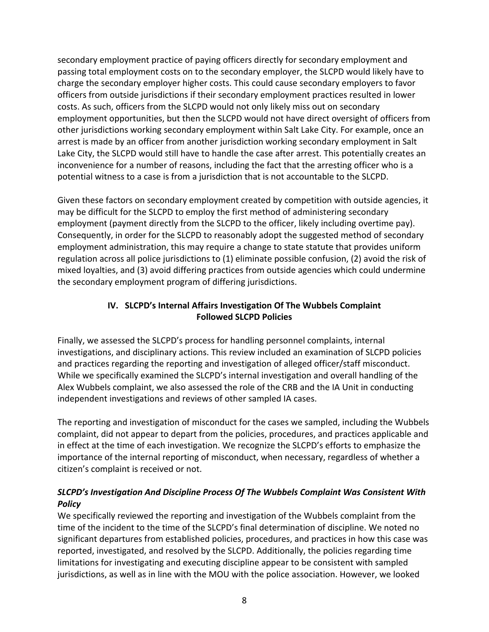secondary employment practice of paying officers directly for secondary employment and passing total employment costs on to the secondary employer, the SLCPD would likely have to charge the secondary employer higher costs. This could cause secondary employers to favor officers from outside jurisdictions if their secondary employment practices resulted in lower costs. As such, officers from the SLCPD would not only likely miss out on secondary employment opportunities, but then the SLCPD would not have direct oversight of officers from other jurisdictions working secondary employment within Salt Lake City. For example, once an arrest is made by an officer from another jurisdiction working secondary employment in Salt Lake City, the SLCPD would still have to handle the case after arrest. This potentially creates an inconvenience for a number of reasons, including the fact that the arresting officer who is a potential witness to a case is from a jurisdiction that is not accountable to the SLCPD.

Given these factors on secondary employment created by competition with outside agencies, it may be difficult for the SLCPD to employ the first method of administering secondary employment (payment directly from the SLCPD to the officer, likely including overtime pay). Consequently, in order for the SLCPD to reasonably adopt the suggested method of secondary employment administration, this may require a change to state statute that provides uniform regulation across all police jurisdictions to (1) eliminate possible confusion, (2) avoid the risk of mixed loyalties, and (3) avoid differing practices from outside agencies which could undermine the secondary employment program of differing jurisdictions.

## **IV. SLCPD's Internal Affairs Investigation Of The Wubbels Complaint Followed SLCPD Policies**

Finally, we assessed the SLCPD's process for handling personnel complaints, internal investigations, and disciplinary actions. This review included an examination of SLCPD policies and practices regarding the reporting and investigation of alleged officer/staff misconduct. While we specifically examined the SLCPD's internal investigation and overall handling of the Alex Wubbels complaint, we also assessed the role of the CRB and the IA Unit in conducting independent investigations and reviews of other sampled IA cases.

The reporting and investigation of misconduct for the cases we sampled, including the Wubbels complaint, did not appear to depart from the policies, procedures, and practices applicable and in effect at the time of each investigation. We recognize the SLCPD's efforts to emphasize the importance of the internal reporting of misconduct, when necessary, regardless of whether a citizen's complaint is received or not.

## *SLCPD's Investigation And Discipline Process Of The Wubbels Complaint Was Consistent With Policy*

We specifically reviewed the reporting and investigation of the Wubbels complaint from the time of the incident to the time of the SLCPD's final determination of discipline. We noted no significant departures from established policies, procedures, and practices in how this case was reported, investigated, and resolved by the SLCPD. Additionally, the policies regarding time limitations for investigating and executing discipline appear to be consistent with sampled jurisdictions, as well as in line with the MOU with the police association. However, we looked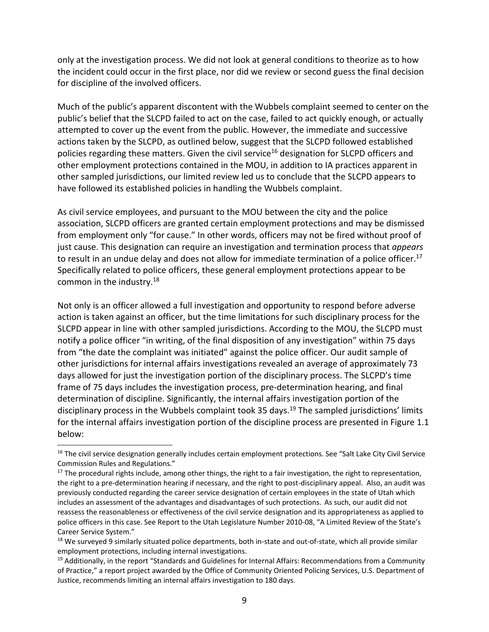only at the investigation process. We did not look at general conditions to theorize as to how the incident could occur in the first place, nor did we review or second guess the final decision for discipline of the involved officers.

Much of the public's apparent discontent with the Wubbels complaint seemed to center on the public's belief that the SLCPD failed to act on the case, failed to act quickly enough, or actually attempted to cover up the event from the public. However, the immediate and successive actions taken by the SLCPD, as outlined below, suggest that the SLCPD followed established policies regarding these matters. Given the civil service<sup>16</sup> designation for SLCPD officers and other employment protections contained in the MOU, in addition to IA practices apparent in other sampled jurisdictions, our limited review led us to conclude that the SLCPD appears to have followed its established policies in handling the Wubbels complaint.

As civil service employees, and pursuant to the MOU between the city and the police association, SLCPD officers are granted certain employment protections and may be dismissed from employment only "for cause." In other words, officers may not be fired without proof of just cause. This designation can require an investigation and termination process that *appears* to result in an undue delay and does not allow for immediate termination of a police officer.<sup>17</sup> Specifically related to police officers, these general employment protections appear to be common in the industry.18

Not only is an officer allowed a full investigation and opportunity to respond before adverse action is taken against an officer, but the time limitations for such disciplinary process for the SLCPD appear in line with other sampled jurisdictions. According to the MOU, the SLCPD must notify a police officer "in writing, of the final disposition of any investigation" within 75 days from "the date the complaint was initiated" against the police officer. Our audit sample of other jurisdictions for internal affairs investigations revealed an average of approximately 73 days allowed for just the investigation portion of the disciplinary process. The SLCPD's time frame of 75 days includes the investigation process, pre-determination hearing, and final determination of discipline. Significantly, the internal affairs investigation portion of the disciplinary process in the Wubbels complaint took 35 days.<sup>19</sup> The sampled jurisdictions' limits for the internal affairs investigation portion of the discipline process are presented in Figure 1.1 below:

l

<sup>&</sup>lt;sup>16</sup> The civil service designation generally includes certain employment protections. See "Salt Lake City Civil Service Commission Rules and Regulations."

<sup>&</sup>lt;sup>17</sup> The procedural rights include, among other things, the right to a fair investigation, the right to representation, the right to a pre-determination hearing if necessary, and the right to post-disciplinary appeal. Also, an audit was previously conducted regarding the career service designation of certain employees in the state of Utah which includes an assessment of the advantages and disadvantages of such protections. As such, our audit did not reassess the reasonableness or effectiveness of the civil service designation and its appropriateness as applied to police officers in this case. See Report to the Utah Legislature Number 2010‐08, "A Limited Review of the State's Career Service System."

<sup>&</sup>lt;sup>18</sup> We surveyed 9 similarly situated police departments, both in-state and out-of-state, which all provide similar employment protections, including internal investigations.

<sup>&</sup>lt;sup>19</sup> Additionally, in the report "Standards and Guidelines for Internal Affairs: Recommendations from a Community of Practice," a report project awarded by the Office of Community Oriented Policing Services, U.S. Department of Justice, recommends limiting an internal affairs investigation to 180 days.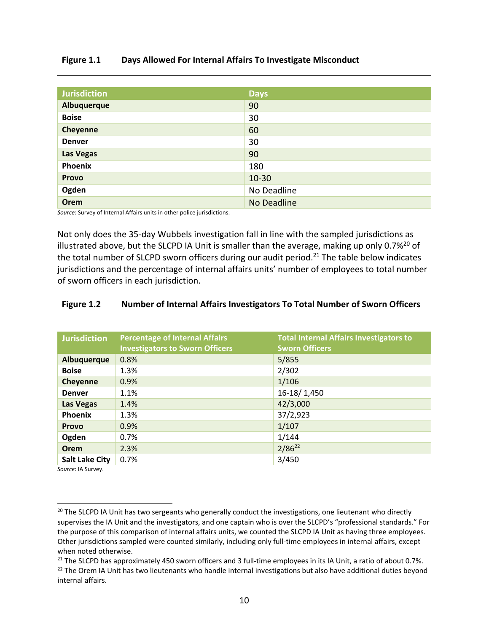#### **Figure 1.1 Days Allowed For Internal Affairs To Investigate Misconduct**

| <b>Jurisdiction</b> | <b>Days</b> |  |
|---------------------|-------------|--|
| Albuquerque         | 90          |  |
| <b>Boise</b>        | 30          |  |
| Cheyenne            | 60          |  |
| <b>Denver</b>       | 30          |  |
| <b>Las Vegas</b>    | 90          |  |
| Phoenix             | 180         |  |
| <b>Provo</b>        | $10 - 30$   |  |
| Ogden               | No Deadline |  |
| <b>Orem</b>         | No Deadline |  |

*Source*: Survey of Internal Affairs units in other police jurisdictions.

Not only does the 35‐day Wubbels investigation fall in line with the sampled jurisdictions as illustrated above, but the SLCPD IA Unit is smaller than the average, making up only  $0.7\%^{20}$  of the total number of SLCPD sworn officers during our audit period.<sup>21</sup> The table below indicates jurisdictions and the percentage of internal affairs units' number of employees to total number of sworn officers in each jurisdiction.

#### **Figure 1.2 Number of Internal Affairs Investigators To Total Number of Sworn Officers**

| <b>Jurisdiction</b>   | <b>Percentage of Internal Affairs</b><br><b>Investigators to Sworn Officers</b> | <b>Total Internal Affairs Investigators to</b><br><b>Sworn Officers</b> |
|-----------------------|---------------------------------------------------------------------------------|-------------------------------------------------------------------------|
| Albuquerque           | 0.8%                                                                            | 5/855                                                                   |
| <b>Boise</b>          | 1.3%                                                                            | 2/302                                                                   |
| <b>Cheyenne</b>       | 0.9%                                                                            | 1/106                                                                   |
| <b>Denver</b>         | 1.1%                                                                            | 16-18/1,450                                                             |
| Las Vegas             | 1.4%                                                                            | 42/3,000                                                                |
| <b>Phoenix</b>        | 1.3%                                                                            | 37/2,923                                                                |
| <b>Provo</b>          | 0.9%                                                                            | 1/107                                                                   |
| Ogden                 | 0.7%                                                                            | 1/144                                                                   |
| Orem                  | 2.3%                                                                            | $2/86^{22}$                                                             |
| <b>Salt Lake City</b> | 0.7%                                                                            | 3/450                                                                   |

*Source*: IA Survey.

<sup>&</sup>lt;sup>20</sup> The SLCPD IA Unit has two sergeants who generally conduct the investigations, one lieutenant who directly supervises the IA Unit and the investigators, and one captain who is over the SLCPD's "professional standards." For the purpose of this comparison of internal affairs units, we counted the SLCPD IA Unit as having three employees. Other jurisdictions sampled were counted similarly, including only full‐time employees in internal affairs, except when noted otherwise.

 $21$  The SLCPD has approximately 450 sworn officers and 3 full-time employees in its IA Unit, a ratio of about 0.7%.

<sup>&</sup>lt;sup>22</sup> The Orem IA Unit has two lieutenants who handle internal investigations but also have additional duties beyond internal affairs.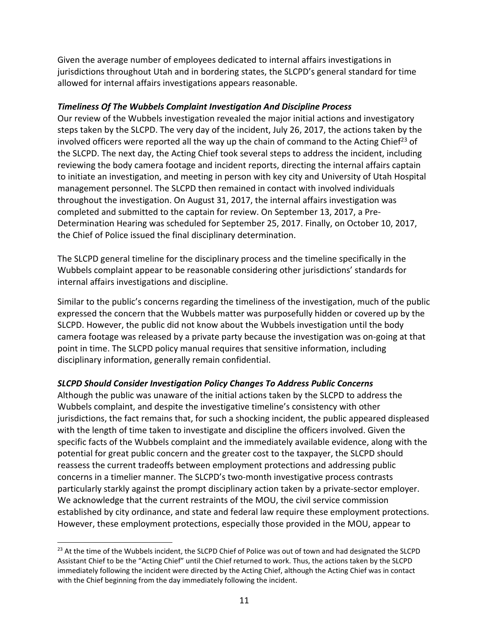Given the average number of employees dedicated to internal affairs investigations in jurisdictions throughout Utah and in bordering states, the SLCPD's general standard for time allowed for internal affairs investigations appears reasonable.

### *Timeliness Of The Wubbels Complaint Investigation And Discipline Process*

Our review of the Wubbels investigation revealed the major initial actions and investigatory steps taken by the SLCPD. The very day of the incident, July 26, 2017, the actions taken by the involved officers were reported all the way up the chain of command to the Acting Chief<sup>23</sup> of the SLCPD. The next day, the Acting Chief took several steps to address the incident, including reviewing the body camera footage and incident reports, directing the internal affairs captain to initiate an investigation, and meeting in person with key city and University of Utah Hospital management personnel. The SLCPD then remained in contact with involved individuals throughout the investigation. On August 31, 2017, the internal affairs investigation was completed and submitted to the captain for review. On September 13, 2017, a Pre‐ Determination Hearing was scheduled for September 25, 2017. Finally, on October 10, 2017, the Chief of Police issued the final disciplinary determination.

The SLCPD general timeline for the disciplinary process and the timeline specifically in the Wubbels complaint appear to be reasonable considering other jurisdictions' standards for internal affairs investigations and discipline.

Similar to the public's concerns regarding the timeliness of the investigation, much of the public expressed the concern that the Wubbels matter was purposefully hidden or covered up by the SLCPD. However, the public did not know about the Wubbels investigation until the body camera footage was released by a private party because the investigation was on‐going at that point in time. The SLCPD policy manual requires that sensitive information, including disciplinary information, generally remain confidential.

## *SLCPD Should Consider Investigation Policy Changes To Address Public Concerns*

Although the public was unaware of the initial actions taken by the SLCPD to address the Wubbels complaint, and despite the investigative timeline's consistency with other jurisdictions, the fact remains that, for such a shocking incident, the public appeared displeased with the length of time taken to investigate and discipline the officers involved. Given the specific facts of the Wubbels complaint and the immediately available evidence, along with the potential for great public concern and the greater cost to the taxpayer, the SLCPD should reassess the current tradeoffs between employment protections and addressing public concerns in a timelier manner. The SLCPD's two‐month investigative process contrasts particularly starkly against the prompt disciplinary action taken by a private‐sector employer. We acknowledge that the current restraints of the MOU, the civil service commission established by city ordinance, and state and federal law require these employment protections. However, these employment protections, especially those provided in the MOU, appear to

<sup>&</sup>lt;sup>23</sup> At the time of the Wubbels incident, the SLCPD Chief of Police was out of town and had designated the SLCPD Assistant Chief to be the "Acting Chief" until the Chief returned to work. Thus, the actions taken by the SLCPD immediately following the incident were directed by the Acting Chief, although the Acting Chief was in contact with the Chief beginning from the day immediately following the incident.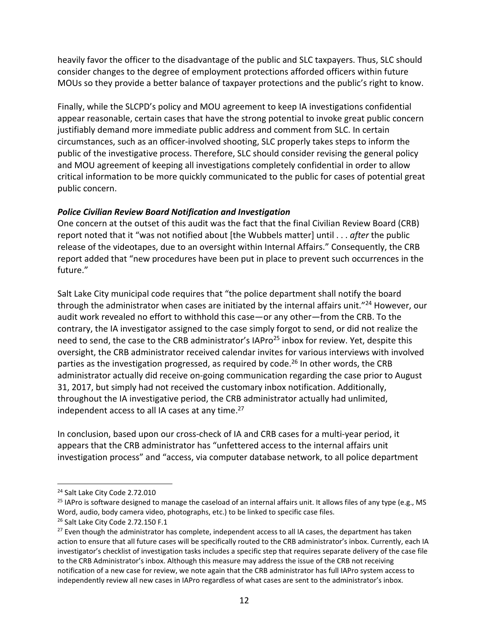heavily favor the officer to the disadvantage of the public and SLC taxpayers. Thus, SLC should consider changes to the degree of employment protections afforded officers within future MOUs so they provide a better balance of taxpayer protections and the public's right to know.

Finally, while the SLCPD's policy and MOU agreement to keep IA investigations confidential appear reasonable, certain cases that have the strong potential to invoke great public concern justifiably demand more immediate public address and comment from SLC. In certain circumstances, such as an officer‐involved shooting, SLC properly takes steps to inform the public of the investigative process. Therefore, SLC should consider revising the general policy and MOU agreement of keeping all investigations completely confidential in order to allow critical information to be more quickly communicated to the public for cases of potential great public concern.

### *Police Civilian Review Board Notification and Investigation*

One concern at the outset of this audit was the fact that the final Civilian Review Board (CRB) report noted that it "was not notified about [the Wubbels matter] until . . . *after* the public release of the videotapes, due to an oversight within Internal Affairs." Consequently, the CRB report added that "new procedures have been put in place to prevent such occurrences in the future."

Salt Lake City municipal code requires that "the police department shall notify the board through the administrator when cases are initiated by the internal affairs unit."<sup>24</sup> However, our audit work revealed no effort to withhold this case—or any other—from the CRB. To the contrary, the IA investigator assigned to the case simply forgot to send, or did not realize the need to send, the case to the CRB administrator's IAPro<sup>25</sup> inbox for review. Yet, despite this oversight, the CRB administrator received calendar invites for various interviews with involved parties as the investigation progressed, as required by code.<sup>26</sup> In other words, the CRB administrator actually did receive on‐going communication regarding the case prior to August 31, 2017, but simply had not received the customary inbox notification. Additionally, throughout the IA investigative period, the CRB administrator actually had unlimited, independent access to all IA cases at any time. $27$ 

In conclusion, based upon our cross‐check of IA and CRB cases for a multi‐year period, it appears that the CRB administrator has "unfettered access to the internal affairs unit investigation process" and "access, via computer database network, to all police department

<sup>24</sup> Salt Lake City Code 2.72.010

 $^{25}$  IAPro is software designed to manage the caseload of an internal affairs unit. It allows files of any type (e.g., MS Word, audio, body camera video, photographs, etc.) to be linked to specific case files.

<sup>&</sup>lt;sup>26</sup> Salt Lake City Code 2.72.150 F.1

<sup>&</sup>lt;sup>27</sup> Even though the administrator has complete, independent access to all IA cases, the department has taken action to ensure that all future cases will be specifically routed to the CRB administrator's inbox. Currently, each IA investigator's checklist of investigation tasks includes a specific step that requires separate delivery of the case file to the CRB Administrator's inbox. Although this measure may address the issue of the CRB not receiving notification of a new case for review, we note again that the CRB administrator has full IAPro system access to independently review all new cases in IAPro regardless of what cases are sent to the administrator's inbox.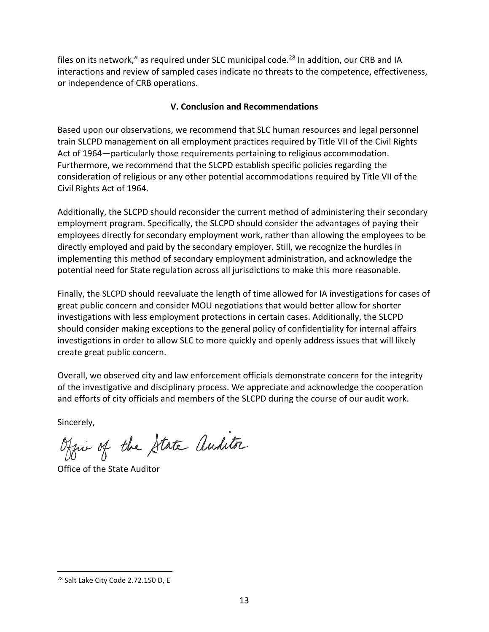files on its network," as required under SLC municipal code.<sup>28</sup> In addition, our CRB and IA interactions and review of sampled cases indicate no threats to the competence, effectiveness, or independence of CRB operations.

## **V. Conclusion and Recommendations**

Based upon our observations, we recommend that SLC human resources and legal personnel train SLCPD management on all employment practices required by Title VII of the Civil Rights Act of 1964—particularly those requirements pertaining to religious accommodation. Furthermore, we recommend that the SLCPD establish specific policies regarding the consideration of religious or any other potential accommodations required by Title VII of the Civil Rights Act of 1964.

Additionally, the SLCPD should reconsider the current method of administering their secondary employment program. Specifically, the SLCPD should consider the advantages of paying their employees directly for secondary employment work, rather than allowing the employees to be directly employed and paid by the secondary employer. Still, we recognize the hurdles in implementing this method of secondary employment administration, and acknowledge the potential need for State regulation across all jurisdictions to make this more reasonable.

Finally, the SLCPD should reevaluate the length of time allowed for IA investigations for cases of great public concern and consider MOU negotiations that would better allow for shorter investigations with less employment protections in certain cases. Additionally, the SLCPD should consider making exceptions to the general policy of confidentiality for internal affairs investigations in order to allow SLC to more quickly and openly address issues that will likely create great public concern.

Overall, we observed city and law enforcement officials demonstrate concern for the integrity of the investigative and disciplinary process. We appreciate and acknowledge the cooperation and efforts of city officials and members of the SLCPD during the course of our audit work.

Sincerely,

-

Office of the State auditor

Office of the State Auditor

<sup>&</sup>lt;sup>28</sup> Salt Lake City Code 2.72.150 D, E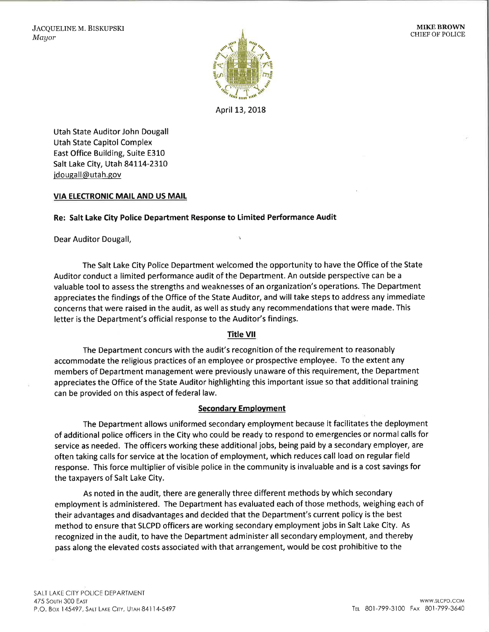

April 13, 2018

Utah State Auditor John Dougall Utah State Capitol Complex East Office Building, Suite E310 Salt Lake City, Utah 84114-2310 jdougall@utah.gov

#### **VIA ELECTRONIC MAIL AND US MAIL**

#### Re: Salt Lake City Police Department Response to Limited Performance Audit

Dear Auditor Dougall,

The Salt Lake City Police Department welcomed the opportunity to have the Office of the State Auditor conduct a limited performance audit of the Department. An outside perspective can be a valuable tool to assess the strengths and weaknesses of an organization's operations. The Department appreciates the findings of the Office of the State Auditor, and will take steps to address any immediate concerns that were raised in the audit, as well as study any recommendations that were made. This letter is the Department's official response to the Auditor's findings.

IN.

#### **Title VII**

The Department concurs with the audit's recognition of the requirement to reasonably accommodate the religious practices of an employee or prospective employee. To the extent any members of Department management were previously unaware of this requirement, the Department appreciates the Office of the State Auditor highlighting this important issue so that additional training can be provided on this aspect of federal law.

#### **Secondary Employment**

The Department allows uniformed secondary employment because it facilitates the deployment of additional police officers in the City who could be ready to respond to emergencies or normal calls for service as needed. The officers working these additional jobs, being paid by a secondary employer, are often taking calls for service at the location of employment, which reduces call load on regular field response. This force multiplier of visible police in the community is invaluable and is a cost savings for the taxpayers of Salt Lake City.

As noted in the audit, there are generally three different methods by which secondary employment is administered. The Department has evaluated each of those methods, weighing each of their advantages and disadvantages and decided that the Department's current policy is the best method to ensure that SLCPD officers are working secondary employment jobs in Salt Lake City. As recognized in the audit, to have the Department administer all secondary employment, and thereby pass along the elevated costs associated with that arrangement, would be cost prohibitive to the